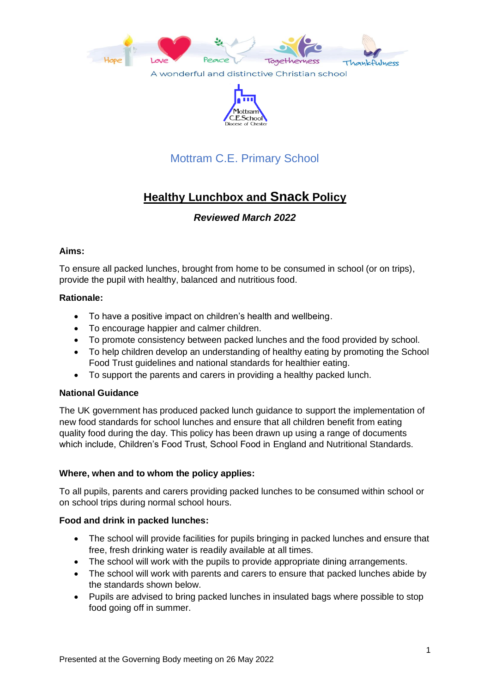



## Mottram C.E. Primary School

# **Healthy Lunchbox and Snack Policy**

*Reviewed March 2022*

## **Aims:**

To ensure all packed lunches, brought from home to be consumed in school (or on trips), provide the pupil with healthy, balanced and nutritious food.

## **Rationale:**

- To have a positive impact on children's health and wellbeing.
- To encourage happier and calmer children.
- To promote consistency between packed lunches and the food provided by school.
- To help children develop an understanding of healthy eating by promoting the School Food Trust guidelines and national standards for healthier eating.
- To support the parents and carers in providing a healthy packed lunch.

#### **National Guidance**

The UK government has produced packed lunch guidance to support the implementation of new food standards for school lunches and ensure that all children benefit from eating quality food during the day. This policy has been drawn up using a range of documents which include, Children's Food Trust, School Food in England and Nutritional Standards.

#### **Where, when and to whom the policy applies:**

To all pupils, parents and carers providing packed lunches to be consumed within school or on school trips during normal school hours.

#### **Food and drink in packed lunches:**

- The school will provide facilities for pupils bringing in packed lunches and ensure that free, fresh drinking water is readily available at all times.
- The school will work with the pupils to provide appropriate dining arrangements.
- The school will work with parents and carers to ensure that packed lunches abide by the standards shown below.
- Pupils are advised to bring packed lunches in insulated bags where possible to stop food going off in summer.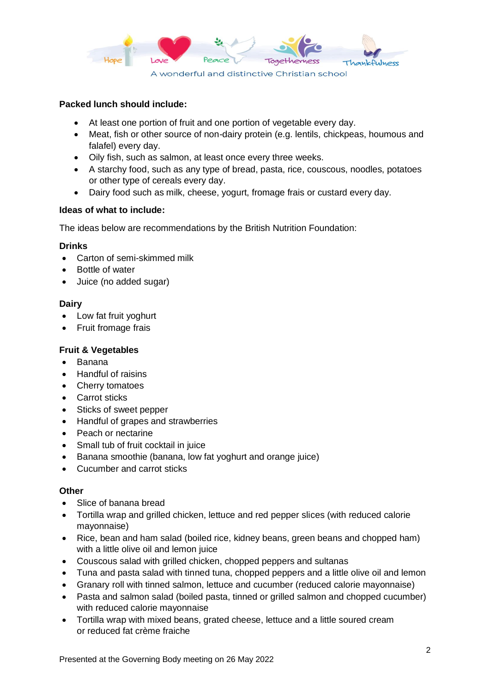

## **Packed lunch should include:**

- At least one portion of fruit and one portion of vegetable every day.
- Meat, fish or other source of non-dairy protein (e.g. lentils, chickpeas, houmous and falafel) every day.
- Oily fish, such as salmon, at least once every three weeks.
- A starchy food, such as any type of bread, pasta, rice, couscous, noodles, potatoes or other type of cereals every day.
- Dairy food such as milk, cheese, yogurt, fromage frais or custard every day.

#### **Ideas of what to include:**

The ideas below are recommendations by the British Nutrition Foundation:

#### **Drinks**

- Carton of semi-skimmed milk
- Bottle of water
- Juice (no added sugar)

#### **Dairy**

- Low fat fruit yoghurt
- Fruit fromage frais

## **Fruit & Vegetables**

- Banana
- Handful of raisins
- Cherry tomatoes
- Carrot sticks
- Sticks of sweet pepper
- Handful of grapes and strawberries
- Peach or nectarine
- Small tub of fruit cocktail in juice
- Banana smoothie (banana, low fat yoghurt and orange juice)
- Cucumber and carrot sticks

#### **Other**

- Slice of banana bread
- Tortilla wrap and grilled chicken, lettuce and red pepper slices (with reduced calorie mayonnaise)
- Rice, bean and ham salad (boiled rice, kidney beans, green beans and chopped ham) with a little olive oil and lemon juice
- Couscous salad with grilled chicken, chopped peppers and sultanas
- Tuna and pasta salad with tinned tuna, chopped peppers and a little olive oil and lemon
- Granary roll with tinned salmon, lettuce and cucumber (reduced calorie mayonnaise)
- Pasta and salmon salad (boiled pasta, tinned or grilled salmon and chopped cucumber) with reduced calorie mayonnaise
- Tortilla wrap with mixed beans, grated cheese, lettuce and a little soured cream or reduced fat crème fraiche